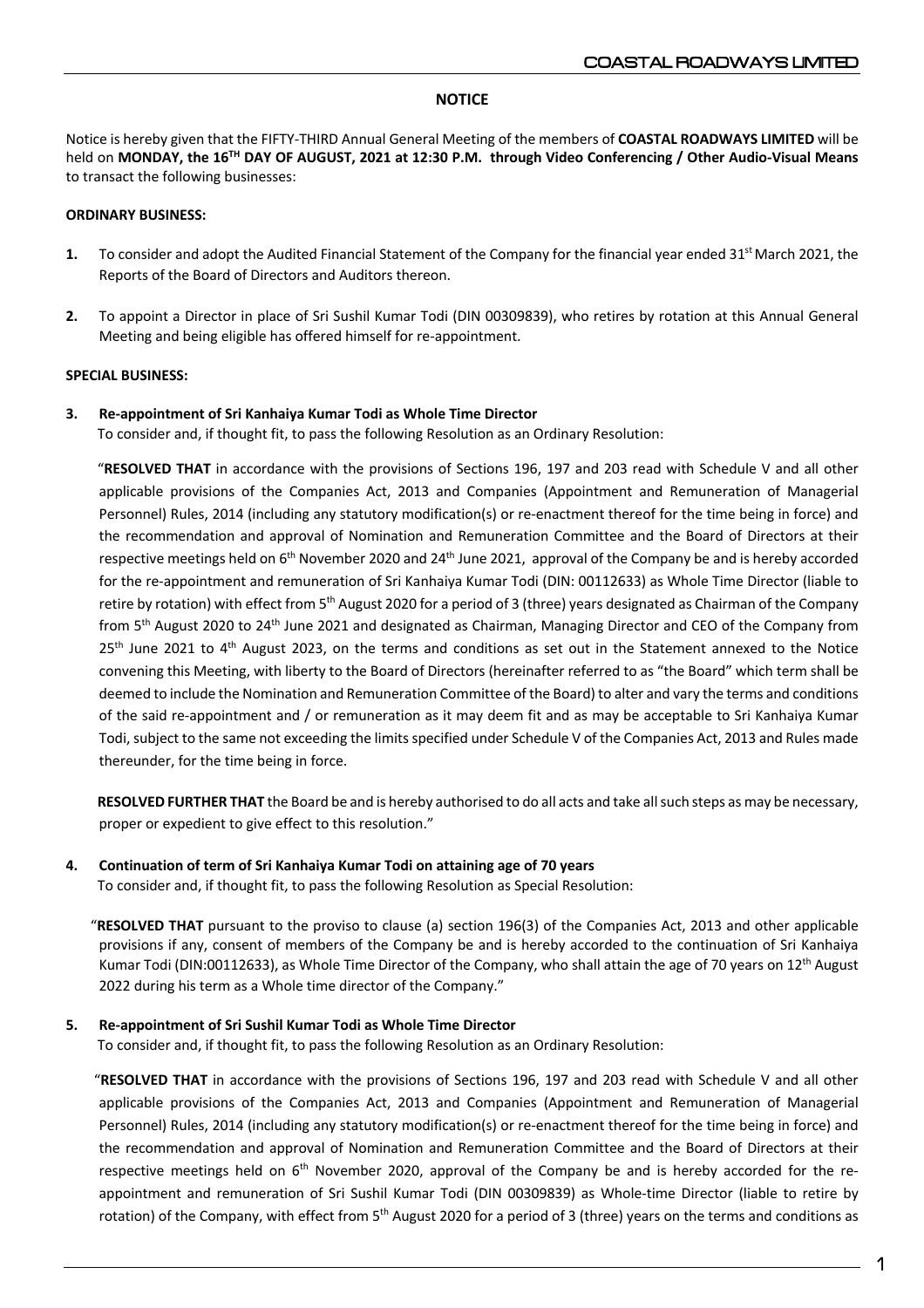# **NOTICE**

Notice is hereby given that the FIFTY-THIRD Annual General Meeting of the members of **COASTAL ROADWAYS LIMITED** will be held on **MONDAY, the 16TH DAY OF AUGUST, 2021 at 12:30 P.M. through Video Conferencing / Other Audio-Visual Means**  to transact the following businesses:

# **ORDINARY BUSINESS:**

- **1.** To consider and adopt the Audited Financial Statement of the Company for the financial year ended 31<sup>st</sup> March 2021, the Reports of the Board of Directors and Auditors thereon.
- **2.** To appoint a Director in place of Sri Sushil Kumar Todi (DIN 00309839), who retires by rotation at this Annual General Meeting and being eligible has offered himself for re-appointment.

## **SPECIAL BUSINESS:**

# **3. Re-appointment of Sri Kanhaiya Kumar Todi as Whole Time Director**

To consider and, if thought fit, to pass the following Resolution as an Ordinary Resolution:

 "**RESOLVED THAT** in accordance with the provisions of Sections 196, 197 and 203 read with Schedule V and all other applicable provisions of the Companies Act, 2013 and Companies (Appointment and Remuneration of Managerial Personnel) Rules, 2014 (including any statutory modification(s) or re-enactment thereof for the time being in force) and the recommendation and approval of Nomination and Remuneration Committee and the Board of Directors at their respective meetings held on 6<sup>th</sup> November 2020 and 24<sup>th</sup> June 2021, approval of the Company be and is hereby accorded for the re-appointment and remuneration of Sri Kanhaiya Kumar Todi (DIN: 00112633) as Whole Time Director (liable to retire by rotation) with effect from 5<sup>th</sup> August 2020 for a period of 3 (three) years designated as Chairman of the Company from 5<sup>th</sup> August 2020 to 24<sup>th</sup> June 2021 and designated as Chairman, Managing Director and CEO of the Company from 25<sup>th</sup> June 2021 to 4<sup>th</sup> August 2023, on the terms and conditions as set out in the Statement annexed to the Notice convening this Meeting, with liberty to the Board of Directors (hereinafter referred to as "the Board" which term shall be deemed to include the Nomination and Remuneration Committee of the Board) to alter and vary the terms and conditions of the said re-appointment and / or remuneration as it may deem fit and as may be acceptable to Sri Kanhaiya Kumar Todi, subject to the same not exceeding the limits specified under Schedule V of the Companies Act, 2013 and Rules made thereunder, for the time being in force.

 **RESOLVED FURTHER THAT** the Board be and is hereby authorised to do all acts and take all such steps as may be necessary, proper or expedient to give effect to this resolution."

## **4. Continuation of term of Sri Kanhaiya Kumar Todi on attaining age of 70 years**

To consider and, if thought fit, to pass the following Resolution as Special Resolution:

 "**RESOLVED THAT** pursuant to the proviso to clause (a) section 196(3) of the Companies Act, 2013 and other applicable provisions if any, consent of members of the Company be and is hereby accorded to the continuation of Sri Kanhaiya Kumar Todi (DIN:00112633), as Whole Time Director of the Company, who shall attain the age of 70 years on  $12<sup>th</sup>$  August 2022 during his term as a Whole time director of the Company."

## **5. Re-appointment of Sri Sushil Kumar Todi as Whole Time Director**

To consider and, if thought fit, to pass the following Resolution as an Ordinary Resolution:

 "**RESOLVED THAT** in accordance with the provisions of Sections 196, 197 and 203 read with Schedule V and all other applicable provisions of the Companies Act, 2013 and Companies (Appointment and Remuneration of Managerial Personnel) Rules, 2014 (including any statutory modification(s) or re-enactment thereof for the time being in force) and the recommendation and approval of Nomination and Remuneration Committee and the Board of Directors at their respective meetings held on  $6<sup>th</sup>$  November 2020, approval of the Company be and is hereby accorded for the reappointment and remuneration of Sri Sushil Kumar Todi (DIN 00309839) as Whole-time Director (liable to retire by rotation) of the Company, with effect from  $5<sup>th</sup>$  August 2020 for a period of 3 (three) years on the terms and conditions as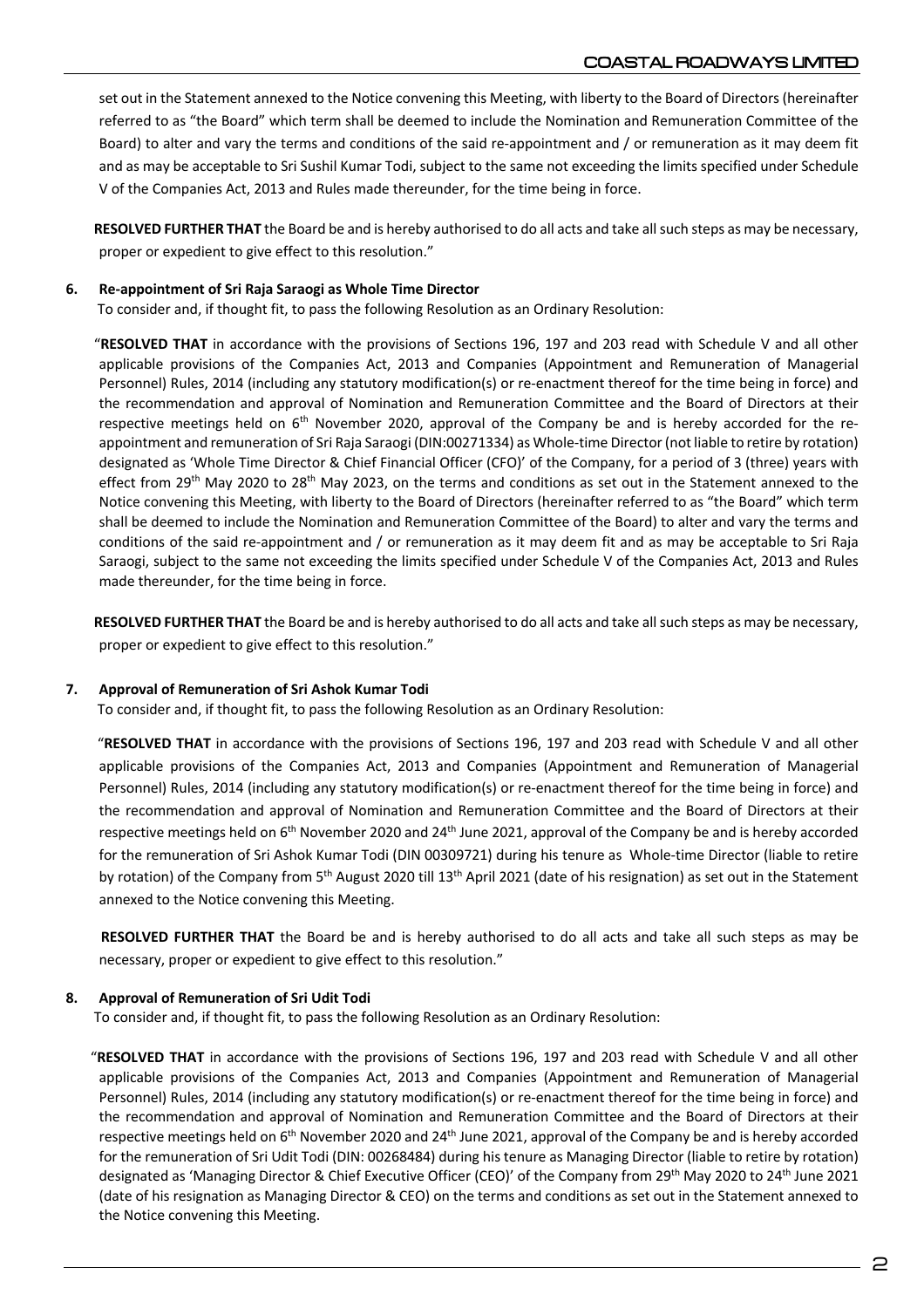set out in the Statement annexed to the Notice convening this Meeting, with liberty to the Board of Directors (hereinafter referred to as "the Board" which term shall be deemed to include the Nomination and Remuneration Committee of the Board) to alter and vary the terms and conditions of the said re-appointment and / or remuneration as it may deem fit and as may be acceptable to Sri Sushil Kumar Todi, subject to the same not exceeding the limits specified under Schedule V of the Companies Act, 2013 and Rules made thereunder, for the time being in force.

 **RESOLVED FURTHER THAT** the Board be and is hereby authorised to do all acts and take all such steps as may be necessary, proper or expedient to give effect to this resolution."

# **6. Re-appointment of Sri Raja Saraogi as Whole Time Director**

To consider and, if thought fit, to pass the following Resolution as an Ordinary Resolution:

 "**RESOLVED THAT** in accordance with the provisions of Sections 196, 197 and 203 read with Schedule V and all other applicable provisions of the Companies Act, 2013 and Companies (Appointment and Remuneration of Managerial Personnel) Rules, 2014 (including any statutory modification(s) or re-enactment thereof for the time being in force) and the recommendation and approval of Nomination and Remuneration Committee and the Board of Directors at their respective meetings held on  $6<sup>th</sup>$  November 2020, approval of the Company be and is hereby accorded for the reappointment and remuneration of Sri Raja Saraogi (DIN:00271334) as Whole-time Director (not liable to retire by rotation) designated as 'Whole Time Director & Chief Financial Officer (CFO)' of the Company, for a period of 3 (three) years with effect from 29<sup>th</sup> May 2020 to 28<sup>th</sup> May 2023, on the terms and conditions as set out in the Statement annexed to the Notice convening this Meeting, with liberty to the Board of Directors (hereinafter referred to as "the Board" which term shall be deemed to include the Nomination and Remuneration Committee of the Board) to alter and vary the terms and conditions of the said re-appointment and / or remuneration as it may deem fit and as may be acceptable to Sri Raja Saraogi, subject to the same not exceeding the limits specified under Schedule V of the Companies Act, 2013 and Rules made thereunder, for the time being in force.

 **RESOLVED FURTHER THAT** the Board be and is hereby authorised to do all acts and take all such steps as may be necessary, proper or expedient to give effect to this resolution."

## **7. Approval of Remuneration of Sri Ashok Kumar Todi**

To consider and, if thought fit, to pass the following Resolution as an Ordinary Resolution:

 "**RESOLVED THAT** in accordance with the provisions of Sections 196, 197 and 203 read with Schedule V and all other applicable provisions of the Companies Act, 2013 and Companies (Appointment and Remuneration of Managerial Personnel) Rules, 2014 (including any statutory modification(s) or re-enactment thereof for the time being in force) and the recommendation and approval of Nomination and Remuneration Committee and the Board of Directors at their respective meetings held on  $6<sup>th</sup>$  November 2020 and 24<sup>th</sup> June 2021, approval of the Company be and is hereby accorded for the remuneration of Sri Ashok Kumar Todi (DIN 00309721) during his tenure as Whole-time Director (liable to retire by rotation) of the Company from 5<sup>th</sup> August 2020 till 13<sup>th</sup> April 2021 (date of his resignation) as set out in the Statement annexed to the Notice convening this Meeting.

 **RESOLVED FURTHER THAT** the Board be and is hereby authorised to do all acts and take all such steps as may be necessary, proper or expedient to give effect to this resolution."

# **8. Approval of Remuneration of Sri Udit Todi**

To consider and, if thought fit, to pass the following Resolution as an Ordinary Resolution:

 "**RESOLVED THAT** in accordance with the provisions of Sections 196, 197 and 203 read with Schedule V and all other applicable provisions of the Companies Act, 2013 and Companies (Appointment and Remuneration of Managerial Personnel) Rules, 2014 (including any statutory modification(s) or re-enactment thereof for the time being in force) and the recommendation and approval of Nomination and Remuneration Committee and the Board of Directors at their respective meetings held on  $6<sup>th</sup>$  November 2020 and 24<sup>th</sup> June 2021, approval of the Company be and is hereby accorded for the remuneration of Sri Udit Todi (DIN: 00268484) during his tenure as Managing Director (liable to retire by rotation) designated as 'Managing Director & Chief Executive Officer (CEO)' of the Company from 29th May 2020 to 24th June 2021 (date of his resignation as Managing Director & CEO) on the terms and conditions as set out in the Statement annexed to the Notice convening this Meeting.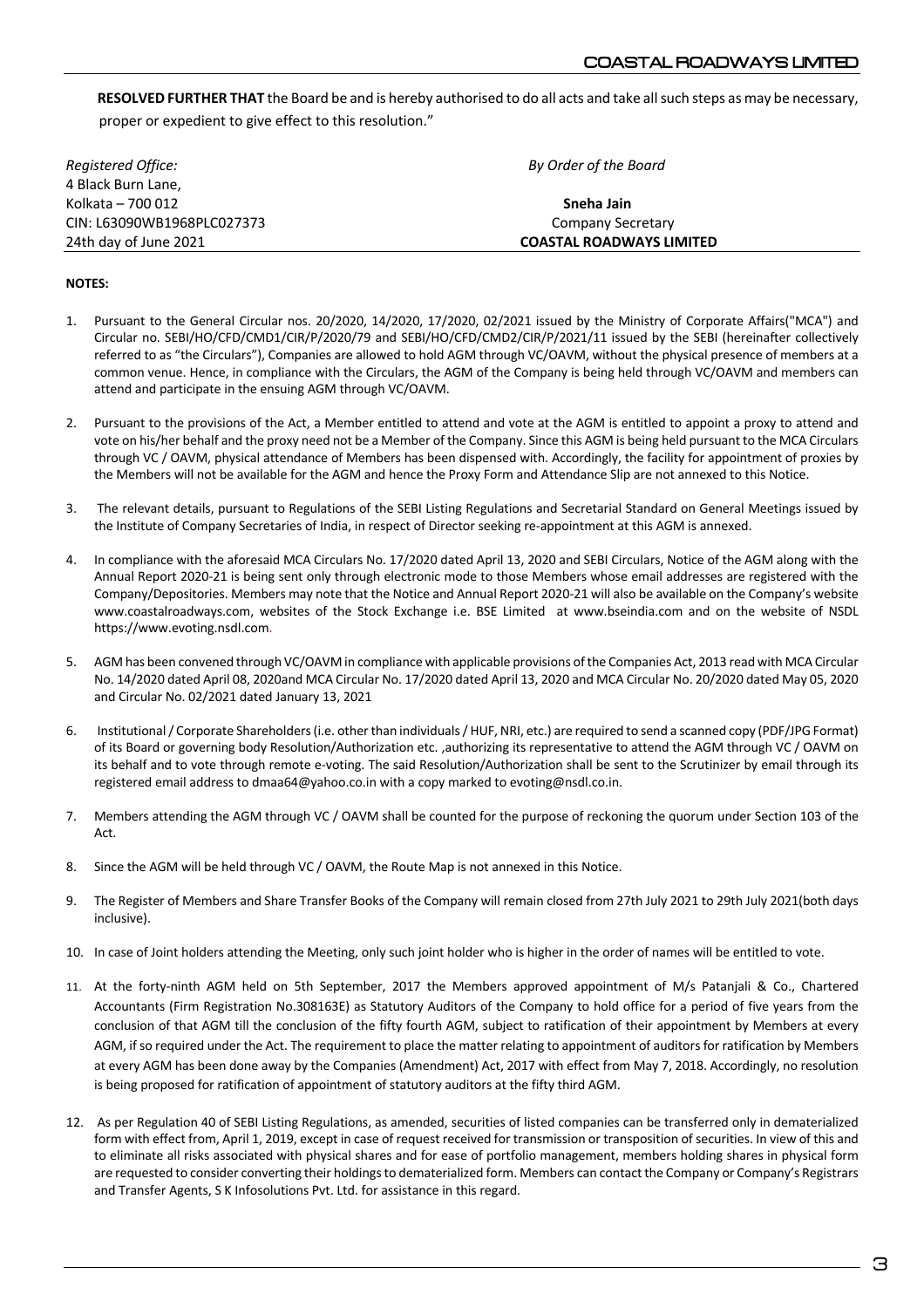**RESOLVED FURTHER THAT** the Board be and is hereby authorised to do all acts and take all such steps as may be necessary, proper or expedient to give effect to this resolution."

| Registered Office:         | By Order of the Board           |  |
|----------------------------|---------------------------------|--|
| 4 Black Burn Lane.         |                                 |  |
| Kolkata - 700 012          | Sneha Jain                      |  |
| CIN: L63090WB1968PLC027373 | Company Secretary               |  |
| 24th day of June 2021      | <b>COASTAL ROADWAYS LIMITED</b> |  |

### **NOTES:**

- 1. Pursuant to the General Circular nos. 20/2020, 14/2020, 17/2020, 02/2021 issued by the Ministry of Corporate Affairs("MCA") and Circular no. SEBI/HO/CFD/CMD1/CIR/P/2020/79 and SEBI/HO/CFD/CMD2/CIR/P/2021/11 issued by the SEBI (hereinafter collectively referred to as "the Circulars"), Companies are allowed to hold AGM through VC/OAVM, without the physical presence of members at a common venue. Hence, in compliance with the Circulars, the AGM of the Company is being held through VC/OAVM and members can attend and participate in the ensuing AGM through VC/OAVM.
- 2. Pursuant to the provisions of the Act, a Member entitled to attend and vote at the AGM is entitled to appoint a proxy to attend and vote on his/her behalf and the proxy need not be a Member of the Company. Since this AGM is being held pursuant to the MCA Circulars through VC / OAVM, physical attendance of Members has been dispensed with. Accordingly, the facility for appointment of proxies by the Members will not be available for the AGM and hence the Proxy Form and Attendance Slip are not annexed to this Notice.
- 3. The relevant details, pursuant to Regulations of the SEBI Listing Regulations and Secretarial Standard on General Meetings issued by the Institute of Company Secretaries of India, in respect of Director seeking re-appointment at this AGM is annexed.
- 4. In compliance with the aforesaid MCA Circulars No. 17/2020 dated April 13, 2020 and SEBI Circulars, Notice of the AGM along with the Annual Report 2020-21 is being sent only through electronic mode to those Members whose email addresses are registered with the Company/Depositories. Members may note that the Notice and Annual Report 2020-21 will also be available on the Company's website www.coastalroadways.com, websites of the Stock Exchange i.e. BSE Limited at www.bseindia.com and on the website of NSDL https://www.evoting.nsdl.com.
- 5. AGM has been convened through VC/OAVM in compliance with applicable provisions of the Companies Act, 2013 read with MCA Circular No. 14/2020 dated April 08, 2020and MCA Circular No. 17/2020 dated April 13, 2020 and MCA Circular No. 20/2020 dated May 05, 2020 and Circular No. 02/2021 dated January 13, 2021
- 6. Institutional / Corporate Shareholders (i.e. other than individuals / HUF, NRI, etc.) are required to send a scanned copy (PDF/JPG Format) of its Board or governing body Resolution/Authorization etc. ,authorizing its representative to attend the AGM through VC / OAVM on its behalf and to vote through remote e-voting. The said Resolution/Authorization shall be sent to the Scrutinizer by email through its registered email address to dmaa64@yahoo.co.in with a copy marked to evoting@nsdl.co.in.
- 7. Members attending the AGM through VC / OAVM shall be counted for the purpose of reckoning the quorum under Section 103 of the Act.
- 8. Since the AGM will be held through VC / OAVM, the Route Map is not annexed in this Notice.
- 9. The Register of Members and Share Transfer Books of the Company will remain closed from 27th July 2021 to 29th July 2021(both days inclusive).
- 10. In case of Joint holders attending the Meeting, only such joint holder who is higher in the order of names will be entitled to vote.
- 11. At the forty-ninth AGM held on 5th September, 2017 the Members approved appointment of M/s Patanjali & Co., Chartered Accountants (Firm Registration No.308163E) as Statutory Auditors of the Company to hold office for a period of five years from the conclusion of that AGM till the conclusion of the fifty fourth AGM, subject to ratification of their appointment by Members at every AGM, if so required under the Act. The requirement to place the matter relating to appointment of auditors for ratification by Members at every AGM has been done away by the Companies (Amendment) Act, 2017 with effect from May 7, 2018. Accordingly, no resolution is being proposed for ratification of appointment of statutory auditors at the fifty third AGM.
- 12. As per Regulation 40 of SEBI Listing Regulations, as amended, securities of listed companies can be transferred only in dematerialized form with effect from, April 1, 2019, except in case of request received for transmission or transposition of securities. In view of this and to eliminate all risks associated with physical shares and for ease of portfolio management, members holding shares in physical form are requested to consider converting their holdings to dematerialized form. Members can contact the Company or Company's Registrars and Transfer Agents, S K Infosolutions Pvt. Ltd. for assistance in this regard.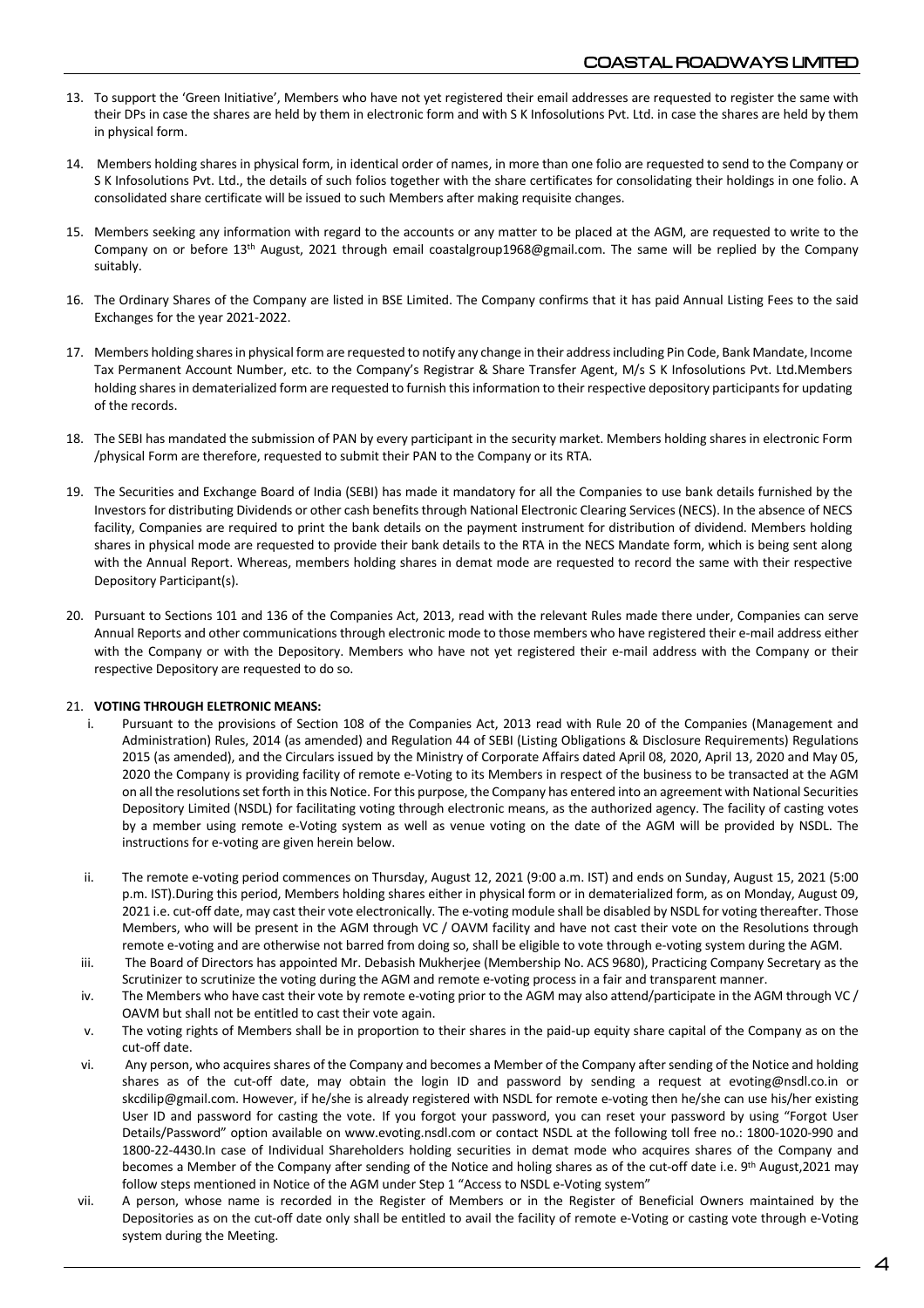- 13. To support the 'Green Initiative', Members who have not yet registered their email addresses are requested to register the same with their DPs in case the shares are held by them in electronic form and with S K Infosolutions Pvt. Ltd. in case the shares are held by them in physical form.
- 14. Members holding shares in physical form, in identical order of names, in more than one folio are requested to send to the Company or S K Infosolutions Pvt. Ltd., the details of such folios together with the share certificates for consolidating their holdings in one folio. A consolidated share certificate will be issued to such Members after making requisite changes.
- 15. Members seeking any information with regard to the accounts or any matter to be placed at the AGM, are requested to write to the Company on or before 13th August, 2021 through email coastalgroup1968@gmail.com. The same will be replied by the Company suitably.
- 16. The Ordinary Shares of the Company are listed in BSE Limited. The Company confirms that it has paid Annual Listing Fees to the said Exchanges for the year 2021-2022.
- 17. Members holding shares in physical form are requested to notify any change in their address including Pin Code, Bank Mandate, Income Tax Permanent Account Number, etc. to the Company's Registrar & Share Transfer Agent, M/s S K Infosolutions Pvt. Ltd.Members holding shares in dematerialized form are requested to furnish this information to their respective depository participants for updating of the records.
- 18. The SEBI has mandated the submission of PAN by every participant in the security market. Members holding shares in electronic Form /physical Form are therefore, requested to submit their PAN to the Company or its RTA.
- 19. The Securities and Exchange Board of India (SEBI) has made it mandatory for all the Companies to use bank details furnished by the Investors for distributing Dividends or other cash benefits through National Electronic Clearing Services (NECS). In the absence of NECS facility, Companies are required to print the bank details on the payment instrument for distribution of dividend. Members holding shares in physical mode are requested to provide their bank details to the RTA in the NECS Mandate form, which is being sent along with the Annual Report. Whereas, members holding shares in demat mode are requested to record the same with their respective Depository Participant(s).
- 20. Pursuant to Sections 101 and 136 of the Companies Act, 2013, read with the relevant Rules made there under, Companies can serve Annual Reports and other communications through electronic mode to those members who have registered their e-mail address either with the Company or with the Depository. Members who have not yet registered their e-mail address with the Company or their respective Depository are requested to do so.

#### 21. **VOTING THROUGH ELETRONIC MEANS:**

- Pursuant to the provisions of Section 108 of the Companies Act, 2013 read with Rule 20 of the Companies (Management and Administration) Rules, 2014 (as amended) and Regulation 44 of SEBI (Listing Obligations & Disclosure Requirements) Regulations 2015 (as amended), and the Circulars issued by the Ministry of Corporate Affairs dated April 08, 2020, April 13, 2020 and May 05, 2020 the Company is providing facility of remote e-Voting to its Members in respect of the business to be transacted at the AGM on all the resolutions set forth in this Notice. For this purpose, the Company has entered into an agreement with National Securities Depository Limited (NSDL) for facilitating voting through electronic means, as the authorized agency. The facility of casting votes by a member using remote e-Voting system as well as venue voting on the date of the AGM will be provided by NSDL. The instructions for e-voting are given herein below.
- ii. The remote e-voting period commences on Thursday, August 12, 2021 (9:00 a.m. IST) and ends on Sunday, August 15, 2021 (5:00 p.m. IST).During this period, Members holding shares either in physical form or in dematerialized form, as on Monday, August 09, 2021 i.e. cut-off date, may cast their vote electronically. The e-voting module shall be disabled by NSDL for voting thereafter. Those Members, who will be present in the AGM through VC / OAVM facility and have not cast their vote on the Resolutions through remote e-voting and are otherwise not barred from doing so, shall be eligible to vote through e-voting system during the AGM.
- iii. The Board of Directors has appointed Mr. Debasish Mukherjee (Membership No. ACS 9680), Practicing Company Secretary as the Scrutinizer to scrutinize the voting during the AGM and remote e-voting process in a fair and transparent manner.
- iv. The Members who have cast their vote by remote e-voting prior to the AGM may also attend/participate in the AGM through VC / OAVM but shall not be entitled to cast their vote again.
- v. The voting rights of Members shall be in proportion to their shares in the paid-up equity share capital of the Company as on the cut-off date.
- vi. Any person, who acquires shares of the Company and becomes a Member of the Company aftersending of the Notice and holding shares as of the cut-off date, may obtain the login ID and password by sending a request at evoting@nsdl.co.in or skcdilip@gmail.com. However, if he/she is already registered with NSDL for remote e-voting then he/she can use his/her existing User ID and password for casting the vote. If you forgot your password, you can reset your password by using "Forgot User Details/Password" option available on www.evoting.nsdl.com or contact NSDL at the following toll free no.: 1800-1020-990 and 1800-22-4430.In case of Individual Shareholders holding securities in demat mode who acquires shares of the Company and becomes a Member of the Company after sending of the Notice and holing shares as of the cut-off date i.e. 9th August,2021 may follow steps mentioned in Notice of the AGM under Step 1 "Access to NSDL e-Voting system"
- vii. A person, whose name is recorded in the Register of Members or in the Register of Beneficial Owners maintained by the Depositories as on the cut-off date only shall be entitled to avail the facility of remote e-Voting or casting vote through e-Voting system during the Meeting.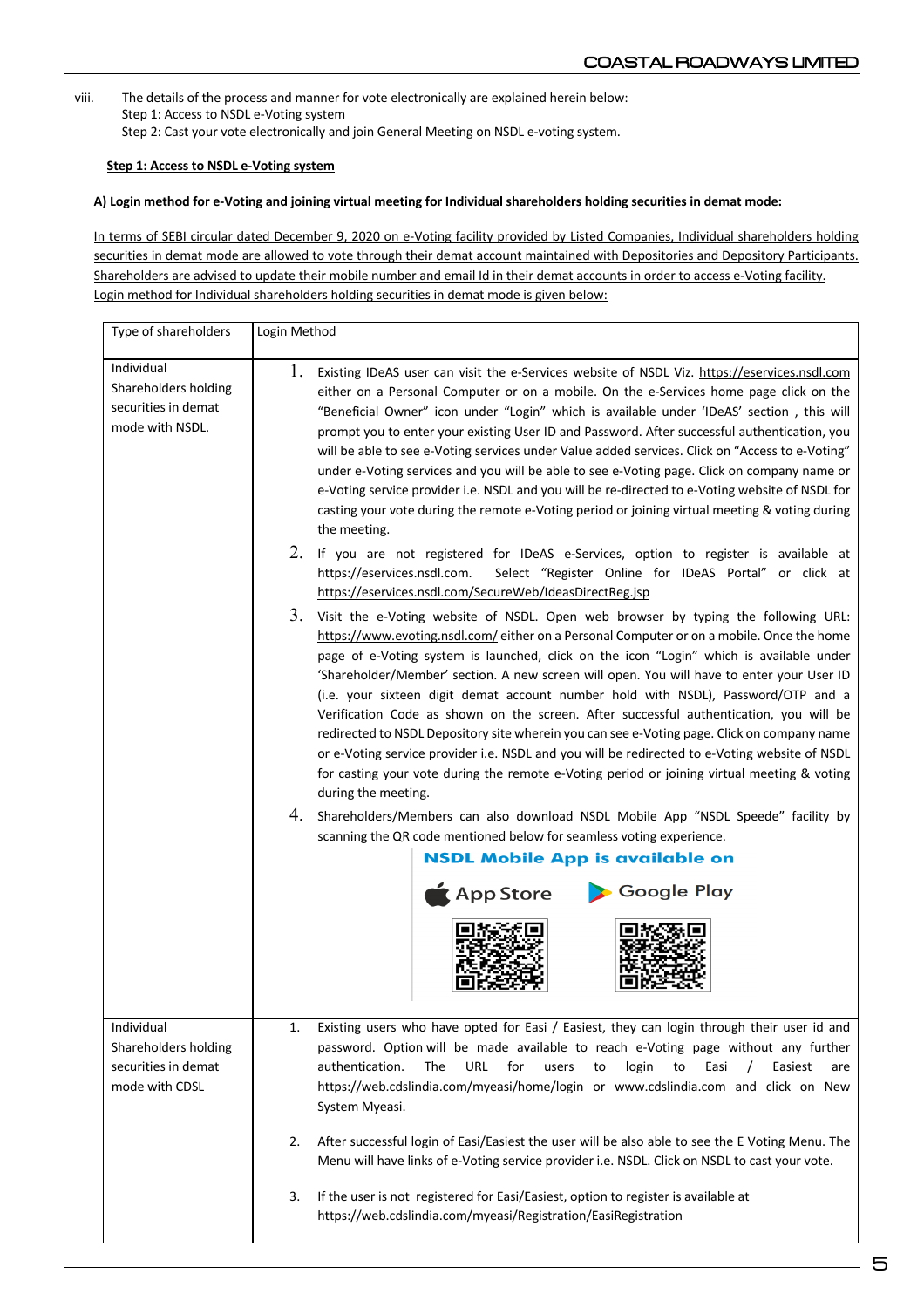viii. The details of the process and manner for vote electronically are explained herein below: Step 1: Access to NSDL e-Voting system Step 2: Cast your vote electronically and join General Meeting on NSDL e-voting system.

## **Step 1: Access to NSDL e-Voting system**

## **A) Login method for e-Voting and joining virtual meeting for Individual shareholders holding securities in demat mode:**

In terms of SEBI circular dated December 9, 2020 on e-Voting facility provided by Listed Companies, Individual shareholders holding securities in demat mode are allowed to vote through their demat account maintained with Depositories and Depository Participants. Shareholders are advised to update their mobile number and email Id in their demat accounts in order to access e-Voting facility. Login method for Individual shareholders holding securities in demat mode is given below:

| Type of shareholders                                                         | Login Method                                                                                                                                                                                                                                                                                                                                                                                                                                                                                                                                                                                                                                                                                                                                                                                                                                                                                                                                                                                                                                                                                                          |
|------------------------------------------------------------------------------|-----------------------------------------------------------------------------------------------------------------------------------------------------------------------------------------------------------------------------------------------------------------------------------------------------------------------------------------------------------------------------------------------------------------------------------------------------------------------------------------------------------------------------------------------------------------------------------------------------------------------------------------------------------------------------------------------------------------------------------------------------------------------------------------------------------------------------------------------------------------------------------------------------------------------------------------------------------------------------------------------------------------------------------------------------------------------------------------------------------------------|
| Individual<br>Shareholders holding<br>securities in demat<br>mode with NSDL. | Ι.<br>Existing IDeAS user can visit the e-Services website of NSDL Viz. https://eservices.nsdl.com<br>either on a Personal Computer or on a mobile. On the e-Services home page click on the<br>"Beneficial Owner" icon under "Login" which is available under 'IDeAS' section, this will<br>prompt you to enter your existing User ID and Password. After successful authentication, you<br>will be able to see e-Voting services under Value added services. Click on "Access to e-Voting"<br>under e-Voting services and you will be able to see e-Voting page. Click on company name or<br>e-Voting service provider i.e. NSDL and you will be re-directed to e-Voting website of NSDL for<br>casting your vote during the remote e-Voting period or joining virtual meeting & voting during<br>the meeting.                                                                                                                                                                                                                                                                                                      |
|                                                                              | 2. If you are not registered for IDeAS e-Services, option to register is available at<br>https://eservices.nsdl.com.<br>Select "Register Online for IDeAS Portal" or click at<br>https://eservices.nsdl.com/SecureWeb/IdeasDirectReg.isp                                                                                                                                                                                                                                                                                                                                                                                                                                                                                                                                                                                                                                                                                                                                                                                                                                                                              |
|                                                                              | 3.<br>Visit the e-Voting website of NSDL. Open web browser by typing the following URL:<br>https://www.evoting.nsdl.com/either on a Personal Computer or on a mobile. Once the home<br>page of e-Voting system is launched, click on the icon "Login" which is available under<br>'Shareholder/Member' section. A new screen will open. You will have to enter your User ID<br>(i.e. your sixteen digit demat account number hold with NSDL), Password/OTP and a<br>Verification Code as shown on the screen. After successful authentication, you will be<br>redirected to NSDL Depository site wherein you can see e-Voting page. Click on company name<br>or e-Voting service provider i.e. NSDL and you will be redirected to e-Voting website of NSDL<br>for casting your vote during the remote e-Voting period or joining virtual meeting & voting<br>during the meeting.<br>4. Shareholders/Members can also download NSDL Mobile App "NSDL Speede" facility by<br>scanning the QR code mentioned below for seamless voting experience.<br><b>NSDL Mobile App is available on</b><br>Google Play<br>App Store |
| Individual<br>Shareholders holding<br>securities in demat<br>mode with CDSL  | Existing users who have opted for Easi / Easiest, they can login through their user id and<br>1.<br>password. Option will be made available to reach e-Voting page without any further<br>authentication.<br>URL<br>The<br>for<br>login<br>Easi<br>users<br>to<br>to<br>Easiest<br>are<br>https://web.cdslindia.com/myeasi/home/login or www.cdslindia.com and click on New<br>System Myeasi.                                                                                                                                                                                                                                                                                                                                                                                                                                                                                                                                                                                                                                                                                                                         |
|                                                                              | After successful login of Easi/Easiest the user will be also able to see the E Voting Menu. The<br>2.<br>Menu will have links of e-Voting service provider i.e. NSDL. Click on NSDL to cast your vote.                                                                                                                                                                                                                                                                                                                                                                                                                                                                                                                                                                                                                                                                                                                                                                                                                                                                                                                |
|                                                                              | If the user is not registered for Easi/Easiest, option to register is available at<br>3.<br>https://web.cdslindia.com/myeasi/Registration/EasiRegistration                                                                                                                                                                                                                                                                                                                                                                                                                                                                                                                                                                                                                                                                                                                                                                                                                                                                                                                                                            |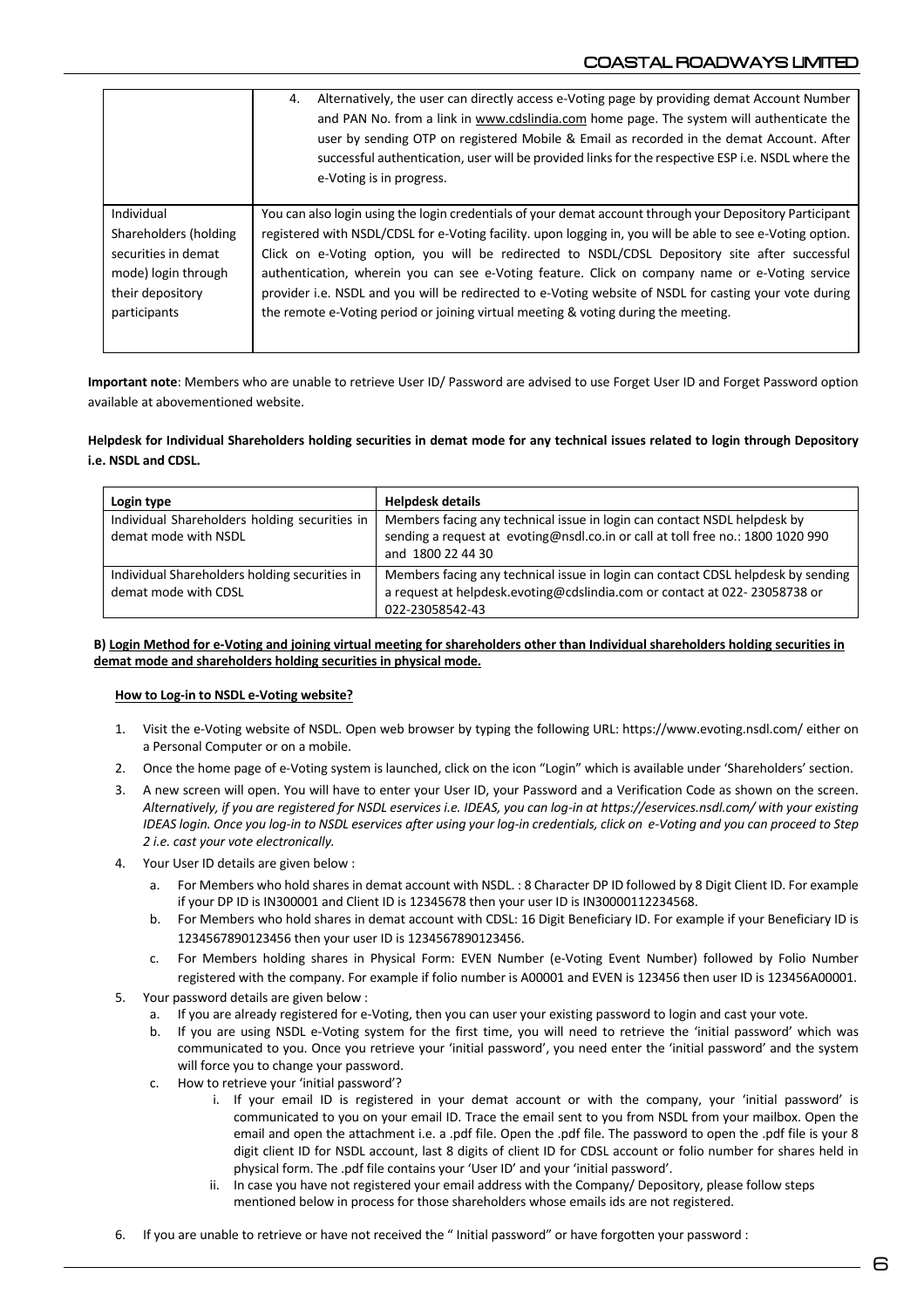|                       | Alternatively, the user can directly access e-Voting page by providing demat Account Number<br>4.<br>and PAN No. from a link in www.cdslindia.com home page. The system will authenticate the<br>user by sending OTP on registered Mobile & Email as recorded in the demat Account. After<br>successful authentication, user will be provided links for the respective ESP i.e. NSDL where the<br>e-Voting is in progress. |
|-----------------------|----------------------------------------------------------------------------------------------------------------------------------------------------------------------------------------------------------------------------------------------------------------------------------------------------------------------------------------------------------------------------------------------------------------------------|
| Individual            | You can also login using the login credentials of your demat account through your Depository Participant                                                                                                                                                                                                                                                                                                                   |
| Shareholders (holding | registered with NSDL/CDSL for e-Voting facility. upon logging in, you will be able to see e-Voting option.                                                                                                                                                                                                                                                                                                                 |
| securities in demat   | Click on e-Voting option, you will be redirected to NSDL/CDSL Depository site after successful                                                                                                                                                                                                                                                                                                                             |
| mode) login through   | authentication, wherein you can see e-Voting feature. Click on company name or e-Voting service                                                                                                                                                                                                                                                                                                                            |
| their depository      | provider i.e. NSDL and you will be redirected to e-Voting website of NSDL for casting your vote during                                                                                                                                                                                                                                                                                                                     |
| participants          | the remote e-Voting period or joining virtual meeting & voting during the meeting.                                                                                                                                                                                                                                                                                                                                         |

**Important note**: Members who are unable to retrieve User ID/ Password are advised to use Forget User ID and Forget Password option available at abovementioned website.

### **Helpdesk for Individual Shareholders holding securities in demat mode for any technical issues related to login through Depository i.e. NSDL and CDSL.**

| Login type                                                            | <b>Helpdesk details</b>                                                                                                                                                          |
|-----------------------------------------------------------------------|----------------------------------------------------------------------------------------------------------------------------------------------------------------------------------|
| Individual Shareholders holding securities in<br>demat mode with NSDL | Members facing any technical issue in login can contact NSDL helpdesk by<br>sending a request at evoting@nsdl.co.in or call at toll free no.: 1800 1020 990<br>and 1800 22 44 30 |
| Individual Shareholders holding securities in<br>demat mode with CDSL | Members facing any technical issue in login can contact CDSL helpdesk by sending<br>a request at helpdesk.evoting@cdslindia.com or contact at 022-23058738 or<br>022-23058542-43 |

#### **B) Login Method for e-Voting and joining virtual meeting for shareholders other than Individual shareholders holding securities in demat mode and shareholders holding securities in physical mode.**

#### **How to Log-in to NSDL e-Voting website?**

- 1. Visit the e-Voting website of NSDL. Open web browser by typing the following URL: https://www.evoting.nsdl.com/ either on a Personal Computer or on a mobile.
- 2. Once the home page of e-Voting system is launched, click on the icon "Login" which is available under 'Shareholders' section.
- 3. A new screen will open. You will have to enter your User ID, your Password and a Verification Code as shown on the screen. *Alternatively, if you are registered for NSDL eservices i.e. IDEAS, you can log-in at https://eservices.nsdl.com/ with your existing IDEAS login. Once you log-in to NSDL eservices after using your log-in credentials, click on e-Voting and you can proceed to Step 2 i.e. cast your vote electronically.*
- 4. Your User ID details are given below :
	- a. For Members who hold shares in demat account with NSDL. : 8 Character DP ID followed by 8 Digit Client ID. For example if your DP ID is IN300001 and Client ID is 12345678 then your user ID is IN30000112234568.
	- b. For Members who hold shares in demat account with CDSL: 16 Digit Beneficiary ID. For example if your Beneficiary ID is 1234567890123456 then your user ID is 1234567890123456.
	- c. For Members holding shares in Physical Form: EVEN Number (e-Voting Event Number) followed by Folio Number registered with the company. For example if folio number is A00001 and EVEN is 123456 then user ID is 123456A00001.
- 5. Your password details are given below :
	- a. If you are already registered for e-Voting, then you can user your existing password to login and cast your vote.
	- b. If you are using NSDL e-Voting system for the first time, you will need to retrieve the 'initial password' which was communicated to you. Once you retrieve your 'initial password', you need enter the 'initial password' and the system will force you to change your password.
	- c. How to retrieve your 'initial password'?
		- i. If your email ID is registered in your demat account or with the company, your 'initial password' is communicated to you on your email ID. Trace the email sent to you from NSDL from your mailbox. Open the email and open the attachment i.e. a .pdf file. Open the .pdf file. The password to open the .pdf file is your 8 digit client ID for NSDL account, last 8 digits of client ID for CDSL account or folio number for shares held in physical form. The .pdf file contains your 'User ID' and your 'initial password'.
		- ii. In case you have not registered your email address with the Company/ Depository, please follow steps mentioned below in process for those shareholders whose emails ids are not registered.
- 6. If you are unable to retrieve or have not received the " Initial password" or have forgotten your password :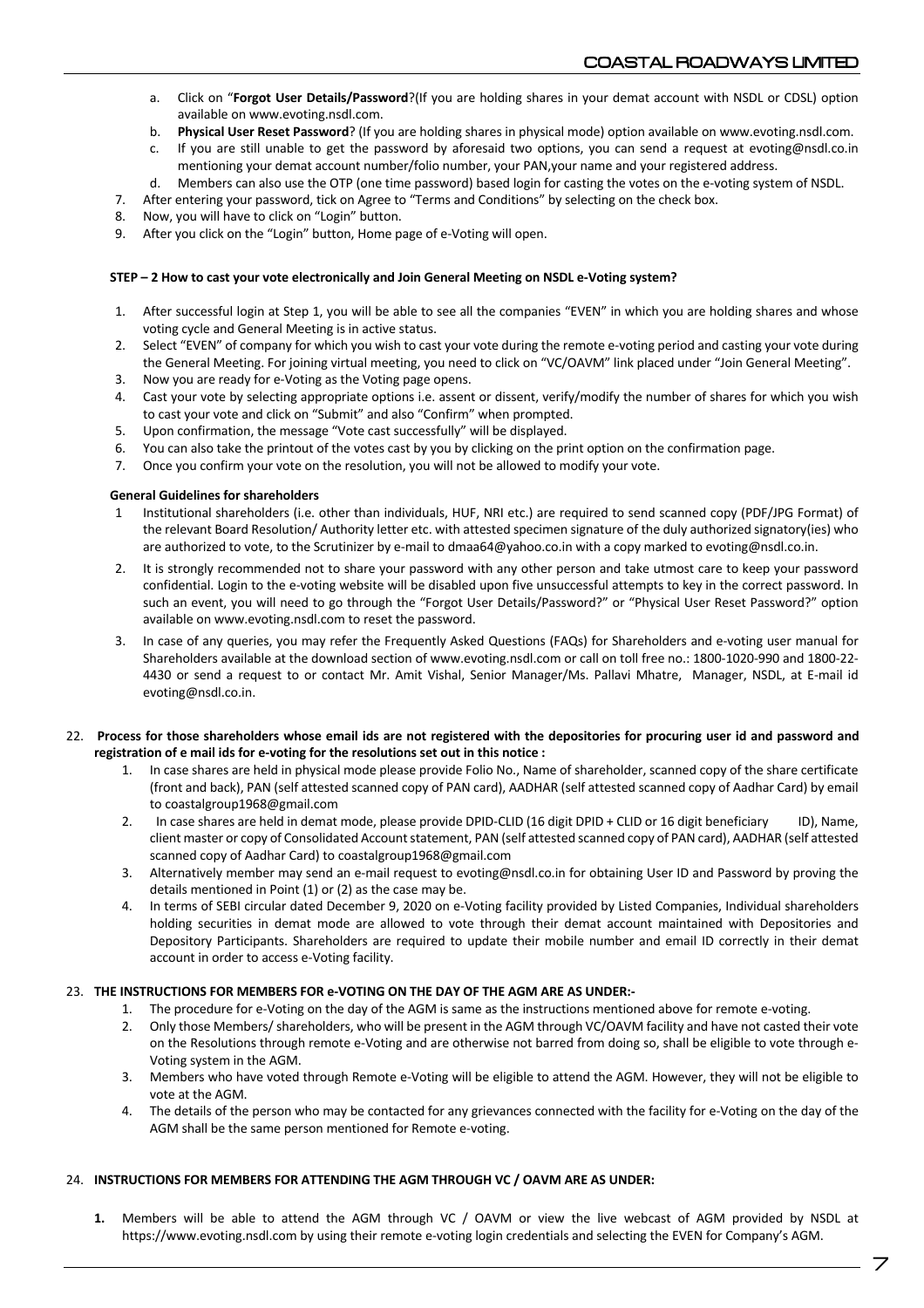- a. Click on "**Forgot User Details/Password**?(If you are holding shares in your demat account with NSDL or CDSL) option available on www.evoting.nsdl.com.
- b. **Physical User Reset Password**? (If you are holding shares in physical mode) option available on www.evoting.nsdl.com.
- c. If you are still unable to get the password by aforesaid two options, you can send a request at evoting@nsdl.co.in mentioning your demat account number/folio number, your PAN,your name and your registered address.
- d. Members can also use the OTP (one time password) based login for casting the votes on the e-voting system of NSDL.
- 7. After entering your password, tick on Agree to "Terms and Conditions" by selecting on the check box.
- 8. Now, you will have to click on "Login" button.
- 9. After you click on the "Login" button, Home page of e-Voting will open.

### **STEP – 2 How to cast your vote electronically and Join General Meeting on NSDL e-Voting system?**

- 1. After successful login at Step 1, you will be able to see all the companies "EVEN" in which you are holding shares and whose voting cycle and General Meeting is in active status.
- 2. Select "EVEN" of company for which you wish to cast your vote during the remote e-voting period and casting your vote during the General Meeting. For joining virtual meeting, you need to click on "VC/OAVM" link placed under "Join General Meeting".
- 3. Now you are ready for e-Voting as the Voting page opens.
- 4. Cast your vote by selecting appropriate options i.e. assent or dissent, verify/modify the number of shares for which you wish to cast your vote and click on "Submit" and also "Confirm" when prompted.
- 5. Upon confirmation, the message "Vote cast successfully" will be displayed.
- 6. You can also take the printout of the votes cast by you by clicking on the print option on the confirmation page.
- 7. Once you confirm your vote on the resolution, you will not be allowed to modify your vote.

### **General Guidelines for shareholders**

- 1 Institutional shareholders (i.e. other than individuals, HUF, NRI etc.) are required to send scanned copy (PDF/JPG Format) of the relevant Board Resolution/ Authority letter etc. with attested specimen signature of the duly authorized signatory(ies) who are authorized to vote, to the Scrutinizer by e-mail to dmaa64@yahoo.co.in with a copy marked to evoting@nsdl.co.in.
- 2. It is strongly recommended not to share your password with any other person and take utmost care to keep your password confidential. Login to the e-voting website will be disabled upon five unsuccessful attempts to key in the correct password. In such an event, you will need to go through the "Forgot User Details/Password?" or "Physical User Reset Password?" option available on www.evoting.nsdl.com to reset the password.
- 3. In case of any queries, you may refer the Frequently Asked Questions (FAQs) for Shareholders and e-voting user manual for Shareholders available at the download section of www.evoting.nsdl.com or call on toll free no.: 1800-1020-990 and 1800-22- 4430 or send a request to or contact Mr. Amit Vishal, Senior Manager/Ms. Pallavi Mhatre, Manager, NSDL, at E-mail id evoting@nsdl.co.in.

#### 22. **Process for those shareholders whose email ids are not registered with the depositories for procuring user id and password and registration of e mail ids for e-voting for the resolutions set out in this notice :**

- 1. In case shares are held in physical mode please provide Folio No., Name of shareholder, scanned copy of the share certificate (front and back), PAN (self attested scanned copy of PAN card), AADHAR (self attested scanned copy of Aadhar Card) by email to coastalgroup1968@gmail.com
- 2. In case shares are held in demat mode, please provide DPID-CLID (16 digit DPID + CLID or 16 digit beneficiary ID), Name, client master or copy of Consolidated Account statement, PAN (self attested scanned copy of PAN card), AADHAR (self attested scanned copy of Aadhar Card) to coastalgroup1968@gmail.com
- 3. Alternatively member may send an e-mail request to evoting@nsdl.co.in for obtaining User ID and Password by proving the details mentioned in Point (1) or (2) as the case may be.
- 4. In terms of SEBI circular dated December 9, 2020 on e-Voting facility provided by Listed Companies, Individual shareholders holding securities in demat mode are allowed to vote through their demat account maintained with Depositories and Depository Participants. Shareholders are required to update their mobile number and email ID correctly in their demat account in order to access e-Voting facility.

## 23. **THE INSTRUCTIONS FOR MEMBERS FOR e-VOTING ON THE DAY OF THE AGM ARE AS UNDER:-**

- 1. The procedure for e-Voting on the day of the AGM is same as the instructions mentioned above for remote e-voting.
- 2. Only those Members/ shareholders, who will be present in the AGM through VC/OAVM facility and have not casted their vote on the Resolutions through remote e-Voting and are otherwise not barred from doing so, shall be eligible to vote through e-Voting system in the AGM.
- 3. Members who have voted through Remote e-Voting will be eligible to attend the AGM. However, they will not be eligible to vote at the AGM.
- 4. The details of the person who may be contacted for any grievances connected with the facility for e-Voting on the day of the AGM shall be the same person mentioned for Remote e-voting.

## 24. **INSTRUCTIONS FOR MEMBERS FOR ATTENDING THE AGM THROUGH VC / OAVM ARE AS UNDER:**

**1.** Members will be able to attend the AGM through VC / OAVM or view the live webcast of AGM provided by NSDL at https://www.evoting.nsdl.com by using their remote e-voting login credentials and selecting the EVEN for Company's AGM.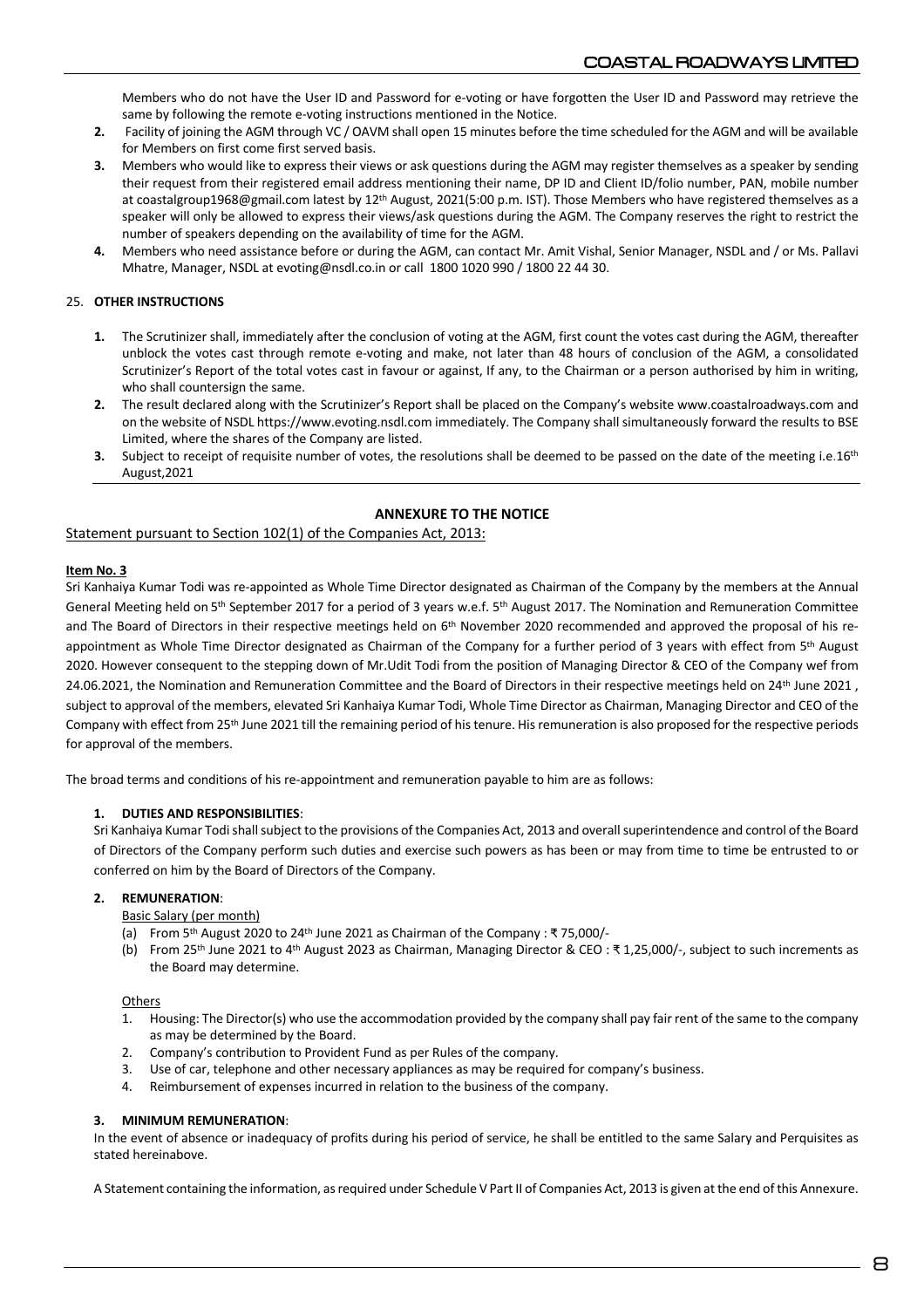Members who do not have the User ID and Password for e-voting or have forgotten the User ID and Password may retrieve the same by following the remote e-voting instructions mentioned in the Notice.

- **2.** Facility of joining the AGM through VC / OAVM shall open 15 minutes before the time scheduled for the AGM and will be available for Members on first come first served basis.
- **3.** Members who would like to express their views or ask questions during the AGM may register themselves as a speaker by sending their request from their registered email address mentioning their name, DP ID and Client ID/folio number, PAN, mobile number at coastalgroup1968@gmail.com latest by 12<sup>th</sup> August, 2021(5:00 p.m. IST). Those Members who have registered themselves as a speaker will only be allowed to express their views/ask questions during the AGM. The Company reserves the right to restrict the number of speakers depending on the availability of time for the AGM.
- **4.** Members who need assistance before or during the AGM, can contact Mr. Amit Vishal, Senior Manager, NSDL and / or Ms. Pallavi Mhatre, Manager, NSDL at evoting@nsdl.co.in or call 1800 1020 990 / 1800 22 44 30.

## 25. **OTHER INSTRUCTIONS**

- **1.** The Scrutinizer shall, immediately after the conclusion of voting at the AGM, first count the votes cast during the AGM, thereafter unblock the votes cast through remote e-voting and make, not later than 48 hours of conclusion of the AGM, a consolidated Scrutinizer's Report of the total votes cast in favour or against, If any, to the Chairman or a person authorised by him in writing, who shall countersign the same.
- **2.** The result declared along with the Scrutinizer's Report shall be placed on the Company's website www.coastalroadways.com and on the website of NSDL https://www.evoting.nsdl.com immediately. The Company shall simultaneously forward the results to BSE Limited, where the shares of the Company are listed.
- **3.** Subject to receipt of requisite number of votes, the resolutions shall be deemed to be passed on the date of the meeting i.e.16<sup>th</sup> August,2021

## **ANNEXURE TO THE NOTICE**

### Statement pursuant to Section 102(1) of the Companies Act, 2013:

### **Item No. 3**

Sri Kanhaiya Kumar Todi was re-appointed as Whole Time Director designated as Chairman of the Company by the members at the Annual General Meeting held on 5<sup>th</sup> September 2017 for a period of 3 years w.e.f. 5<sup>th</sup> August 2017. The Nomination and Remuneration Committee and The Board of Directors in their respective meetings held on  $6<sup>th</sup>$  November 2020 recommended and approved the proposal of his reappointment as Whole Time Director designated as Chairman of the Company for a further period of 3 years with effect from 5<sup>th</sup> August 2020. However consequent to the stepping down of Mr.Udit Todi from the position of Managing Director & CEO of the Company wef from 24.06.2021, the Nomination and Remuneration Committee and the Board of Directors in their respective meetings held on 24<sup>th</sup> June 2021, subject to approval of the members, elevated Sri Kanhaiya Kumar Todi, Whole Time Director as Chairman, Managing Director and CEO of the Company with effect from 25th June 2021 till the remaining period of histenure. His remuneration is also proposed for the respective periods for approval of the members.

The broad terms and conditions of his re-appointment and remuneration payable to him are as follows:

#### **1. DUTIES AND RESPONSIBILITIES**:

Sri Kanhaiya Kumar Todishallsubject to the provisions of the Companies Act, 2013 and overall superintendence and control of the Board of Directors of the Company perform such duties and exercise such powers as has been or may from time to time be entrusted to or conferred on him by the Board of Directors of the Company.

#### **2. REMUNERATION**:

Basic Salary (per month)

- (a) From 5th August 2020 to 24th June 2021 as Chairman of the Company : ₹ 75,000/-
- (b) From 25th June 2021 to 4th August 2023 as Chairman, Managing Director & CEO : ₹ 1,25,000/-, subject to such increments as the Board may determine.

#### **Others**

- 1. Housing: The Director(s) who use the accommodation provided by the company shall pay fair rent of the same to the company as may be determined by the Board.
- 2. Company's contribution to Provident Fund as per Rules of the company.
- 3. Use of car, telephone and other necessary appliances as may be required for company's business.
- 4. Reimbursement of expenses incurred in relation to the business of the company.

### **3. MINIMUM REMUNERATION**:

In the event of absence or inadequacy of profits during his period of service, he shall be entitled to the same Salary and Perquisites as stated hereinabove.

A Statement containing the information, as required under Schedule V Part II of Companies Act, 2013 is given at the end of this Annexure.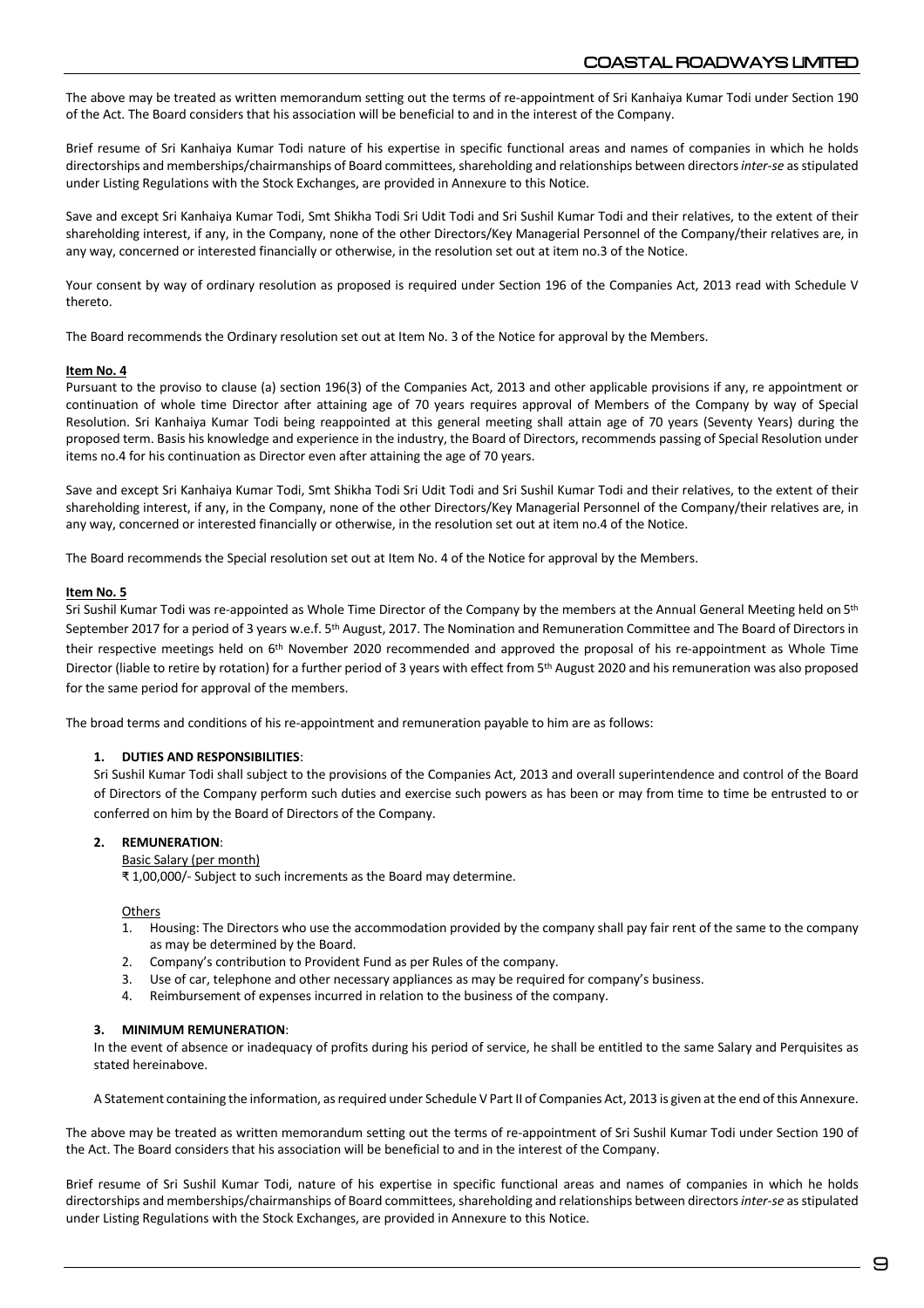The above may be treated as written memorandum setting out the terms of re-appointment of Sri Kanhaiya Kumar Todi under Section 190 of the Act. The Board considers that his association will be beneficial to and in the interest of the Company.

Brief resume of Sri Kanhaiya Kumar Todi nature of his expertise in specific functional areas and names of companies in which he holds directorships and memberships/chairmanships of Board committees, shareholding and relationships between directors *inter-se* as stipulated under Listing Regulations with the Stock Exchanges, are provided in Annexure to this Notice.

Save and except Sri Kanhaiya Kumar Todi, Smt Shikha Todi Sri Udit Todi and Sri Sushil Kumar Todi and their relatives, to the extent of their shareholding interest, if any, in the Company, none of the other Directors/Key Managerial Personnel of the Company/their relatives are, in any way, concerned or interested financially or otherwise, in the resolution set out at item no.3 of the Notice.

Your consent by way of ordinary resolution as proposed is required under Section 196 of the Companies Act, 2013 read with Schedule V thereto.

The Board recommends the Ordinary resolution set out at Item No. 3 of the Notice for approval by the Members.

#### **Item No. 4**

Pursuant to the proviso to clause (a) section 196(3) of the Companies Act, 2013 and other applicable provisions if any, re appointment or continuation of whole time Director after attaining age of 70 years requires approval of Members of the Company by way of Special Resolution. Sri Kanhaiya Kumar Todi being reappointed at this general meeting shall attain age of 70 years (Seventy Years) during the proposed term. Basis his knowledge and experience in the industry, the Board of Directors, recommends passing of Special Resolution under items no.4 for his continuation as Director even after attaining the age of 70 years.

Save and except Sri Kanhaiya Kumar Todi, Smt Shikha Todi Sri Udit Todi and Sri Sushil Kumar Todi and their relatives, to the extent of their shareholding interest, if any, in the Company, none of the other Directors/Key Managerial Personnel of the Company/their relatives are, in any way, concerned or interested financially or otherwise, in the resolution set out at item no.4 of the Notice.

The Board recommends the Special resolution set out at Item No. 4 of the Notice for approval by the Members.

#### **Item No. 5**

Sri Sushil Kumar Todi was re-appointed as Whole Time Director of the Company by the members at the Annual General Meeting held on 5<sup>th</sup> September 2017 for a period of 3 years w.e.f. 5th August, 2017. The Nomination and Remuneration Committee and The Board of Directors in their respective meetings held on 6th November 2020 recommended and approved the proposal of his re-appointment as Whole Time Director (liable to retire by rotation) for a further period of 3 years with effect from 5<sup>th</sup> August 2020 and his remuneration was also proposed for the same period for approval of the members.

The broad terms and conditions of his re-appointment and remuneration payable to him are as follows:

#### **1. DUTIES AND RESPONSIBILITIES**:

Sri Sushil Kumar Todi shall subject to the provisions of the Companies Act, 2013 and overall superintendence and control of the Board of Directors of the Company perform such duties and exercise such powers as has been or may from time to time be entrusted to or conferred on him by the Board of Directors of the Company.

## **2. REMUNERATION**:

#### Basic Salary (per month)

₹ 1,00,000/- Subject to such increments as the Board may determine.

#### **Others**

- 1. Housing: The Directors who use the accommodation provided by the company shall pay fair rent of the same to the company as may be determined by the Board.
- 2. Company's contribution to Provident Fund as per Rules of the company.
- 3. Use of car, telephone and other necessary appliances as may be required for company's business.
- 4. Reimbursement of expenses incurred in relation to the business of the company.

#### **3. MINIMUM REMUNERATION**:

In the event of absence or inadequacy of profits during his period of service, he shall be entitled to the same Salary and Perquisites as stated hereinabove.

A Statement containing the information, as required under Schedule V Part II of Companies Act, 2013 is given at the end of this Annexure.

The above may be treated as written memorandum setting out the terms of re-appointment of Sri Sushil Kumar Todi under Section 190 of the Act. The Board considers that his association will be beneficial to and in the interest of the Company.

Brief resume of Sri Sushil Kumar Todi, nature of his expertise in specific functional areas and names of companies in which he holds directorships and memberships/chairmanships of Board committees, shareholding and relationships between directors *inter-se* as stipulated under Listing Regulations with the Stock Exchanges, are provided in Annexure to this Notice.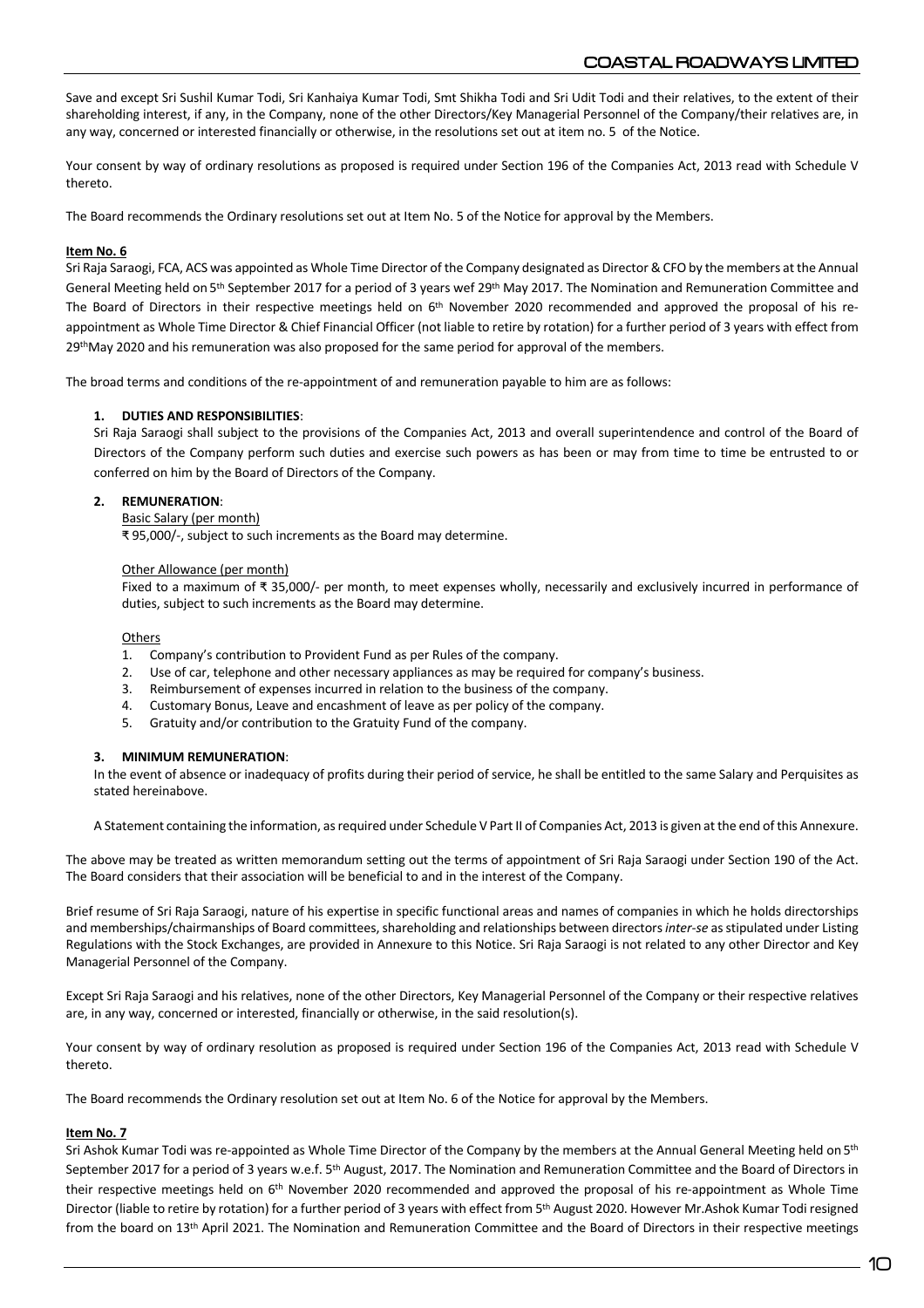Save and except Sri Sushil Kumar Todi, Sri Kanhaiya Kumar Todi, Smt Shikha Todi and Sri Udit Todi and their relatives, to the extent of their shareholding interest, if any, in the Company, none of the other Directors/Key Managerial Personnel of the Company/their relatives are, in any way, concerned or interested financially or otherwise, in the resolutions set out at item no. 5 of the Notice.

Your consent by way of ordinary resolutions as proposed is required under Section 196 of the Companies Act, 2013 read with Schedule V thereto.

The Board recommends the Ordinary resolutions set out at Item No. 5 of the Notice for approval by the Members.

## **Item No. 6**

Sri Raja Saraogi, FCA, ACS was appointed as Whole Time Director of the Company designated as Director & CFO by the members at the Annual General Meeting held on 5<sup>th</sup> September 2017 for a period of 3 years wef 29<sup>th</sup> May 2017. The Nomination and Remuneration Committee and The Board of Directors in their respective meetings held on 6<sup>th</sup> November 2020 recommended and approved the proposal of his reappointment as Whole Time Director & Chief Financial Officer (not liable to retire by rotation) for a further period of 3 years with effect from 29<sup>th</sup>May 2020 and his remuneration was also proposed for the same period for approval of the members.

The broad terms and conditions of the re-appointment of and remuneration payable to him are as follows:

### **1. DUTIES AND RESPONSIBILITIES**:

Sri Raja Saraogi shall subject to the provisions of the Companies Act, 2013 and overall superintendence and control of the Board of Directors of the Company perform such duties and exercise such powers as has been or may from time to time be entrusted to or conferred on him by the Board of Directors of the Company.

### **2. REMUNERATION**:

#### Basic Salary (per month)

₹ 95,000/-, subject to such increments as the Board may determine.

#### Other Allowance (per month)

Fixed to a maximum of ₹ 35,000/- per month, to meet expenses wholly, necessarily and exclusively incurred in performance of duties, subject to such increments as the Board may determine.

#### **Others**

- 1. Company's contribution to Provident Fund as per Rules of the company.
- 2. Use of car, telephone and other necessary appliances as may be required for company's business.
- 3. Reimbursement of expenses incurred in relation to the business of the company.
- 4. Customary Bonus, Leave and encashment of leave as per policy of the company.
- 5. Gratuity and/or contribution to the Gratuity Fund of the company.

#### **3. MINIMUM REMUNERATION**:

In the event of absence or inadequacy of profits during their period of service, he shall be entitled to the same Salary and Perquisites as stated hereinabove.

A Statement containing the information, as required under Schedule V Part II of Companies Act, 2013 is given at the end of this Annexure.

The above may be treated as written memorandum setting out the terms of appointment of Sri Raja Saraogi under Section 190 of the Act. The Board considers that their association will be beneficial to and in the interest of the Company.

Brief resume of Sri Raja Saraogi, nature of his expertise in specific functional areas and names of companies in which he holds directorships and memberships/chairmanships of Board committees, shareholding and relationships between directors *inter-se* as stipulated under Listing Regulations with the Stock Exchanges, are provided in Annexure to this Notice. Sri Raja Saraogi is not related to any other Director and Key Managerial Personnel of the Company.

Except Sri Raja Saraogi and his relatives, none of the other Directors, Key Managerial Personnel of the Company or their respective relatives are, in any way, concerned or interested, financially or otherwise, in the said resolution(s).

Your consent by way of ordinary resolution as proposed is required under Section 196 of the Companies Act, 2013 read with Schedule V thereto.

The Board recommends the Ordinary resolution set out at Item No. 6 of the Notice for approval by the Members.

#### **Item No. 7**

Sri Ashok Kumar Todi was re-appointed as Whole Time Director of the Company by the members at the Annual General Meeting held on 5<sup>th</sup> September 2017 for a period of 3 years w.e.f. 5<sup>th</sup> August, 2017. The Nomination and Remuneration Committee and the Board of Directors in their respective meetings held on 6<sup>th</sup> November 2020 recommended and approved the proposal of his re-appointment as Whole Time Director (liable to retire by rotation) for a further period of 3 years with effect from 5<sup>th</sup> August 2020. However Mr.Ashok Kumar Todi resigned from the board on 13th April 2021. The Nomination and Remuneration Committee and the Board of Directors in their respective meetings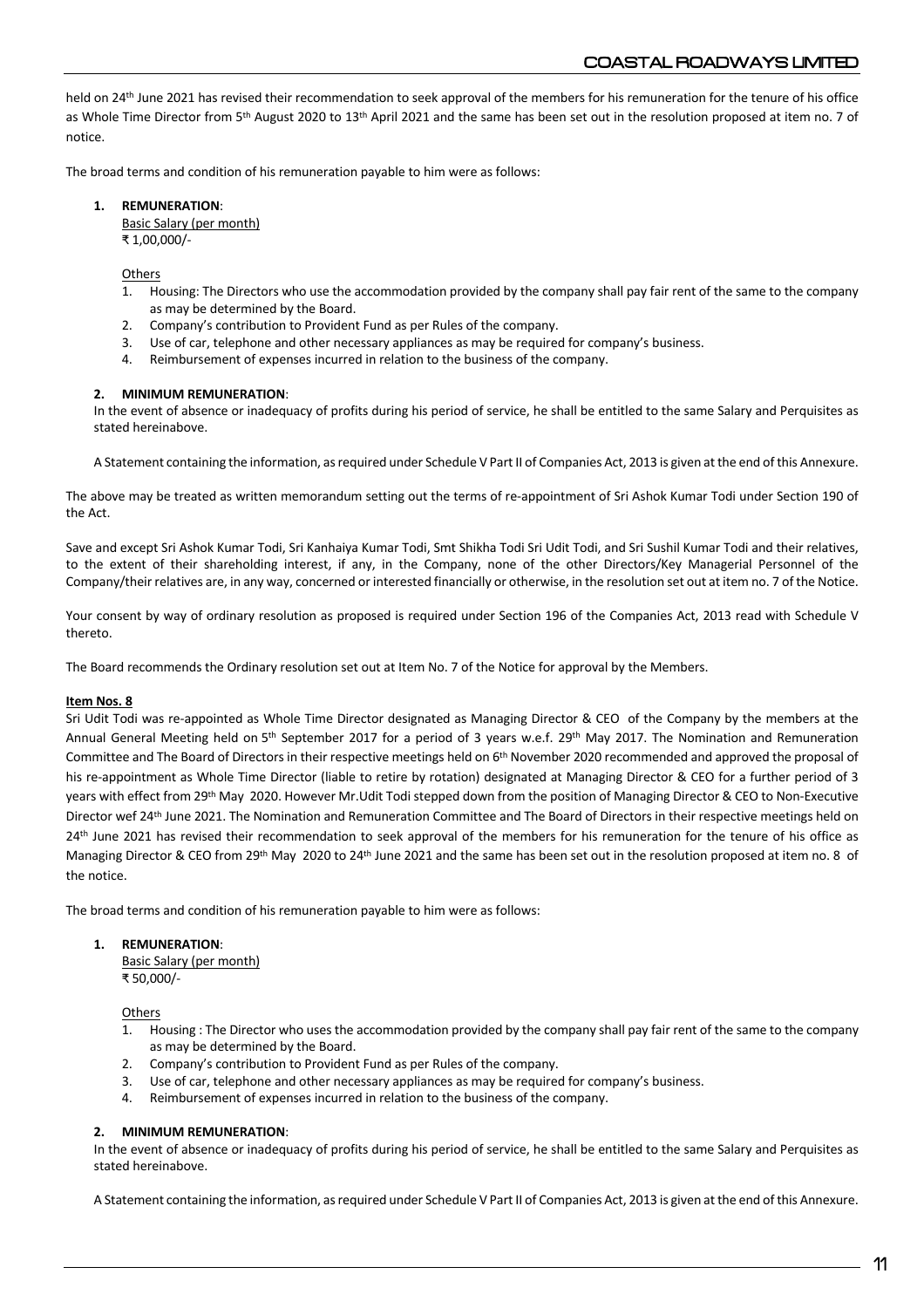held on 24<sup>th</sup> June 2021 has revised their recommendation to seek approval of the members for his remuneration for the tenure of his office as Whole Time Director from 5<sup>th</sup> August 2020 to 13<sup>th</sup> April 2021 and the same has been set out in the resolution proposed at item no. 7 of notice.

The broad terms and condition of his remuneration payable to him were as follows:

## **1. REMUNERATION**:

Basic Salary (per month) ₹ 1,00,000/-

**Others** 

- 1. Housing: The Directors who use the accommodation provided by the company shall pay fair rent of the same to the company as may be determined by the Board.
- 2. Company's contribution to Provident Fund as per Rules of the company.
- 3. Use of car, telephone and other necessary appliances as may be required for company's business.
- 4. Reimbursement of expenses incurred in relation to the business of the company.

### **2. MINIMUM REMUNERATION**:

In the event of absence or inadequacy of profits during his period of service, he shall be entitled to the same Salary and Perquisites as stated hereinabove.

A Statement containing the information, as required under Schedule V Part II of Companies Act, 2013 is given at the end of this Annexure.

The above may be treated as written memorandum setting out the terms of re-appointment of Sri Ashok Kumar Todi under Section 190 of the Act.

Save and except Sri Ashok Kumar Todi, Sri Kanhaiya Kumar Todi, Smt Shikha Todi Sri Udit Todi, and Sri Sushil Kumar Todi and their relatives, to the extent of their shareholding interest, if any, in the Company, none of the other Directors/Key Managerial Personnel of the Company/their relatives are, in any way, concerned or interested financially or otherwise, in the resolution set out at item no. 7 of the Notice.

Your consent by way of ordinary resolution as proposed is required under Section 196 of the Companies Act, 2013 read with Schedule V thereto.

The Board recommends the Ordinary resolution set out at Item No. 7 of the Notice for approval by the Members.

#### **Item Nos. 8**

Sri Udit Todi was re-appointed as Whole Time Director designated as Managing Director & CEO of the Company by the members at the Annual General Meeting held on 5<sup>th</sup> September 2017 for a period of 3 years w.e.f. 29<sup>th</sup> May 2017. The Nomination and Remuneration Committee and The Board of Directors in their respective meetings held on 6th November 2020 recommended and approved the proposal of his re-appointment as Whole Time Director (liable to retire by rotation) designated at Managing Director & CEO for a further period of 3 years with effect from 29<sup>th</sup> May 2020. However Mr.Udit Todi stepped down from the position of Managing Director & CEO to Non-Executive Director wef 24th June 2021. The Nomination and Remuneration Committee and The Board of Directors in their respective meetings held on 24<sup>th</sup> June 2021 has revised their recommendation to seek approval of the members for his remuneration for the tenure of his office as Managing Director & CEO from 29th May 2020 to 24th June 2021 and the same has been set out in the resolution proposed at item no. 8 of the notice.

The broad terms and condition of his remuneration payable to him were as follows:

#### **1. REMUNERATION**:

Basic Salary (per month) ₹ 50,000/-

**Others** 

- 1. Housing : The Director who uses the accommodation provided by the company shall pay fair rent of the same to the company as may be determined by the Board.
- 2. Company's contribution to Provident Fund as per Rules of the company.
- 3. Use of car, telephone and other necessary appliances as may be required for company's business.
- Reimbursement of expenses incurred in relation to the business of the company.

#### **2. MINIMUM REMUNERATION**:

In the event of absence or inadequacy of profits during his period of service, he shall be entitled to the same Salary and Perquisites as stated hereinabove.

A Statement containing the information, as required under Schedule V Part II of Companies Act, 2013 is given at the end of this Annexure.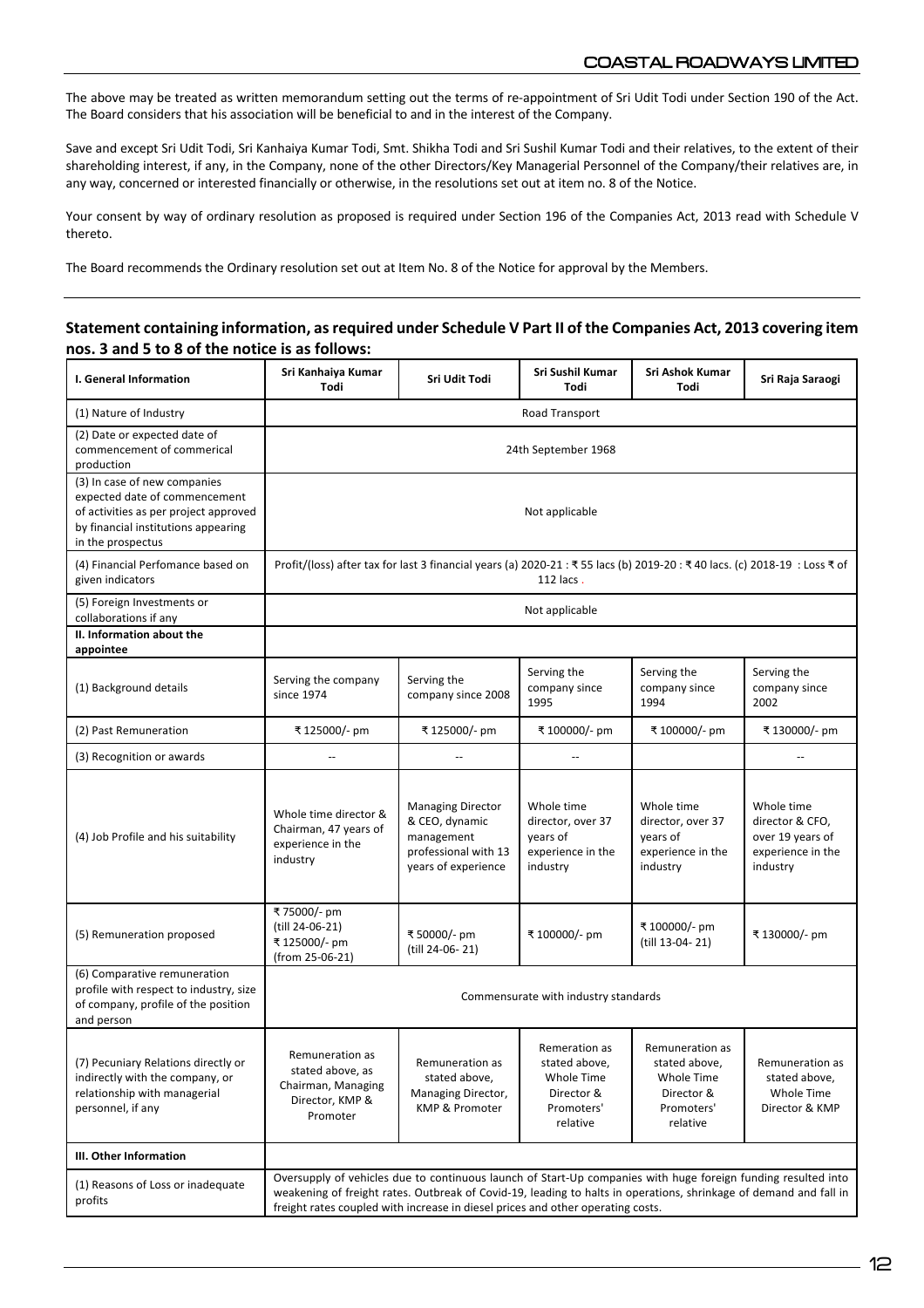The above may be treated as written memorandum setting out the terms of re-appointment of Sri Udit Todi under Section 190 of the Act. The Board considers that his association will be beneficial to and in the interest of the Company.

Save and except Sri Udit Todi, Sri Kanhaiya Kumar Todi, Smt. Shikha Todi and Sri Sushil Kumar Todi and their relatives, to the extent of their shareholding interest, if any, in the Company, none of the other Directors/Key Managerial Personnel of the Company/their relatives are, in any way, concerned or interested financially or otherwise, in the resolutions set out at item no. 8 of the Notice.

Your consent by way of ordinary resolution as proposed is required under Section 196 of the Companies Act, 2013 read with Schedule V thereto.

The Board recommends the Ordinary resolution set out at Item No. 8 of the Notice for approval by the Members.

# **Statement containing information, as required under Schedule V Part II of the Companies Act, 2013 covering item nos. 3 and 5 to 8 of the notice is as follows:**

| I. General Information                                                                                                                                             | Sri Kanhaiya Kumar<br>Todi                                                                                                                                                                                                                                                                                            | Sri Udit Todi                                                                                           | Sri Sushil Kumar<br>Todi                                                             | Sri Ashok Kumar<br>Todi                                                                | Sri Raja Saraogi                                                                   |
|--------------------------------------------------------------------------------------------------------------------------------------------------------------------|-----------------------------------------------------------------------------------------------------------------------------------------------------------------------------------------------------------------------------------------------------------------------------------------------------------------------|---------------------------------------------------------------------------------------------------------|--------------------------------------------------------------------------------------|----------------------------------------------------------------------------------------|------------------------------------------------------------------------------------|
| (1) Nature of Industry                                                                                                                                             | Road Transport                                                                                                                                                                                                                                                                                                        |                                                                                                         |                                                                                      |                                                                                        |                                                                                    |
| (2) Date or expected date of<br>commencement of commerical<br>production                                                                                           | 24th September 1968                                                                                                                                                                                                                                                                                                   |                                                                                                         |                                                                                      |                                                                                        |                                                                                    |
| (3) In case of new companies<br>expected date of commencement<br>of activities as per project approved<br>by financial institutions appearing<br>in the prospectus | Not applicable                                                                                                                                                                                                                                                                                                        |                                                                                                         |                                                                                      |                                                                                        |                                                                                    |
| (4) Financial Perfomance based on<br>given indicators                                                                                                              | Profit/(loss) after tax for last 3 financial years (a) 2020-21 : ₹55 lacs (b) 2019-20 : ₹40 lacs. (c) 2018-19 : Loss ₹ of<br>112 lacs.                                                                                                                                                                                |                                                                                                         |                                                                                      |                                                                                        |                                                                                    |
| (5) Foreign Investments or<br>collaborations if any                                                                                                                | Not applicable                                                                                                                                                                                                                                                                                                        |                                                                                                         |                                                                                      |                                                                                        |                                                                                    |
| II. Information about the<br>appointee                                                                                                                             |                                                                                                                                                                                                                                                                                                                       |                                                                                                         |                                                                                      |                                                                                        |                                                                                    |
| (1) Background details                                                                                                                                             | Serving the company<br>since 1974                                                                                                                                                                                                                                                                                     | Serving the<br>company since 2008                                                                       | Serving the<br>company since<br>1995                                                 | Serving the<br>company since<br>1994                                                   | Serving the<br>company since<br>2002                                               |
| (2) Past Remuneration                                                                                                                                              | ₹ 125000/- pm                                                                                                                                                                                                                                                                                                         | ₹125000/- pm                                                                                            | ₹ 100000/- pm                                                                        | ₹ 100000/- pm                                                                          | ₹130000/- pm                                                                       |
| (3) Recognition or awards                                                                                                                                          | Ξ.                                                                                                                                                                                                                                                                                                                    | $-$                                                                                                     | $\overline{a}$                                                                       |                                                                                        | $\overline{a}$                                                                     |
| (4) Job Profile and his suitability                                                                                                                                | Whole time director &<br>Chairman, 47 years of<br>experience in the<br>industry                                                                                                                                                                                                                                       | <b>Managing Director</b><br>& CEO, dynamic<br>management<br>professional with 13<br>years of experience | Whole time<br>director, over 37<br>years of<br>experience in the<br>industry         | Whole time<br>director, over 37<br>years of<br>experience in the<br>industry           | Whole time<br>director & CFO,<br>over 19 years of<br>experience in the<br>industry |
| (5) Remuneration proposed                                                                                                                                          | ₹75000/- pm<br>(till 24-06-21)<br>₹125000/- pm<br>(from 25-06-21)                                                                                                                                                                                                                                                     | ₹50000/- pm<br>(till 24-06-21)                                                                          | ₹ 100000/- pm                                                                        | ₹ 100000/- pm<br>(till 13-04-21)                                                       | ₹ 130000/- pm                                                                      |
| (6) Comparative remuneration<br>profile with respect to industry, size<br>of company, profile of the position<br>and person                                        | Commensurate with industry standards                                                                                                                                                                                                                                                                                  |                                                                                                         |                                                                                      |                                                                                        |                                                                                    |
| (7) Pecuniary Relations directly or<br>indirectly with the company, or<br>relationship with managerial<br>personnel, if any                                        | Remuneration as<br>stated above, as<br>Chairman, Managing<br>Director, KMP &<br>Promoter                                                                                                                                                                                                                              | Remuneration as<br>stated above,<br>Managing Director,<br>KMP & Promoter                                | Remeration as<br>stated above,<br>Whole Time<br>Director &<br>Promoters'<br>relative | Remuneration as<br>stated above,<br>Whole Time<br>Director &<br>Promoters'<br>relative | Remuneration as<br>stated above,<br>Whole Time<br>Director & KMP                   |
| III. Other Information                                                                                                                                             |                                                                                                                                                                                                                                                                                                                       |                                                                                                         |                                                                                      |                                                                                        |                                                                                    |
| (1) Reasons of Loss or inadequate<br>profits                                                                                                                       | Oversupply of vehicles due to continuous launch of Start-Up companies with huge foreign funding resulted into<br>weakening of freight rates. Outbreak of Covid-19, leading to halts in operations, shrinkage of demand and fall in<br>freight rates coupled with increase in diesel prices and other operating costs. |                                                                                                         |                                                                                      |                                                                                        |                                                                                    |